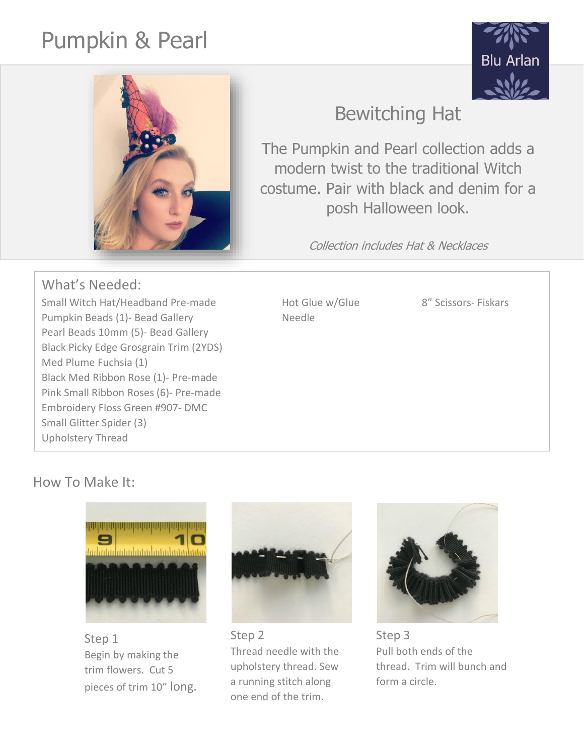## Pumpkin & Pearl





## Bewitching Hat

The Pumpkin and Pearl collection adds a modern twist to the traditional Witch costume. Pair with black and denim for a posh Halloween look.

Collection includes Hat & Necklaces

## What's Needed:

Small Witch Hat/Headband Pre-made **Hot Glue w/Glue** 8<sup>"</sup> Scissors- Fiskars Pumpkin Beads (1)- Bead Gallery Needle Pearl Beads 10mm (5)- Bead Gallery Black Picky Edge Grosgrain Trim (2YDS) Med Plume Fuchsia (1) Black Med Ribbon Rose (1)- Pre-made Pink Small Ribbon Roses (6)- Pre-made Embroidery Floss Green #907- DMC Small Glitter Spider (3) Upholstery Thread

## How To Make It:



Step 1 Begin by making the trim flowers. Cut 5 pieces of trim 10" long.



Step 2 Thread needle with the upholstery thread. Sew a running stitch along one end of the trim.



Step 3 Pull both ends of the thread. Trim will bunch and form a circle.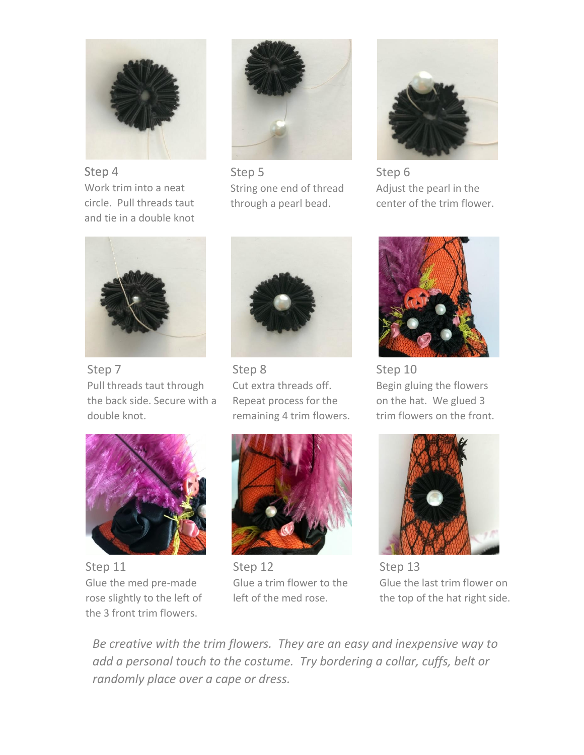

Step 4 Work trim into a neat circle. Pull threads taut and tie in a double knot



Step 5 String one end of thread through a pearl bead.



Step 6 Adjust the pearl in the center of the trim flower.



Step 7 Pull threads taut through the back side. Secure with a double knot.



Step 11 Glue the med pre-made rose slightly to the left of the 3 front trim flowers.



Step 8 Cut extra threads off. Repeat process for the remaining 4 trim flowers.



Step 12 Glue a trim flower to the left of the med rose.



Step 10 Begin gluing the flowers on the hat. We glued 3 trim flowers on the front.



Step 13 Glue the last trim flower on the top of the hat right side.

*Be creative with the trim flowers. They are an easy and inexpensive way to add a personal touch to the costume. Try bordering a collar, cuffs, belt or randomly place over a cape or dress.*